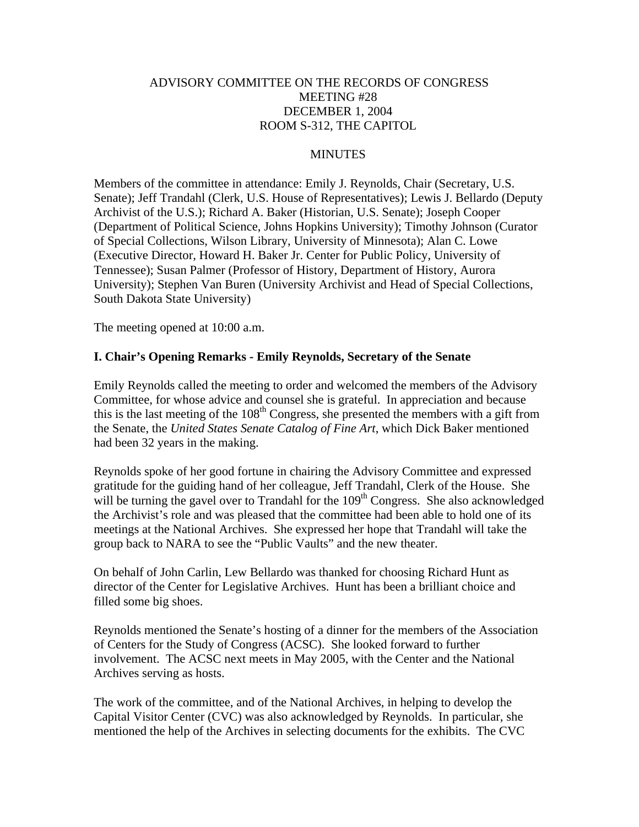# ADVISORY COMMITTEE ON THE RECORDS OF CONGRESS MEETING #28 DECEMBER 1, 2004 ROOM S-312, THE CAPITOL

#### MINUTES

Members of the committee in attendance: Emily J. Reynolds, Chair (Secretary, U.S. Senate); Jeff Trandahl (Clerk, U.S. House of Representatives); Lewis J. Bellardo (Deputy Archivist of the U.S.); Richard A. Baker (Historian, U.S. Senate); Joseph Cooper (Department of Political Science, Johns Hopkins University); Timothy Johnson (Curator of Special Collections, Wilson Library, University of Minnesota); Alan C. Lowe (Executive Director, Howard H. Baker Jr. Center for Public Policy, University of Tennessee); Susan Palmer (Professor of History, Department of History, Aurora University); Stephen Van Buren (University Archivist and Head of Special Collections, South Dakota State University)

The meeting opened at 10:00 a.m.

#### **I. Chair's Opening Remarks - Emily Reynolds, Secretary of the Senate**

Emily Reynolds called the meeting to order and welcomed the members of the Advisory Committee, for whose advice and counsel she is grateful. In appreciation and because this is the last meeting of the  $108<sup>th</sup>$  Congress, she presented the members with a gift from the Senate, the *United States Senate Catalog of Fine Art*, which Dick Baker mentioned had been 32 years in the making.

Reynolds spoke of her good fortune in chairing the Advisory Committee and expressed gratitude for the guiding hand of her colleague, Jeff Trandahl, Clerk of the House. She will be turning the gavel over to Trandahl for the  $109<sup>th</sup>$  Congress. She also acknowledged the Archivist's role and was pleased that the committee had been able to hold one of its meetings at the National Archives. She expressed her hope that Trandahl will take the group back to NARA to see the "Public Vaults" and the new theater.

On behalf of John Carlin, Lew Bellardo was thanked for choosing Richard Hunt as director of the Center for Legislative Archives. Hunt has been a brilliant choice and filled some big shoes.

Reynolds mentioned the Senate's hosting of a dinner for the members of the Association of Centers for the Study of Congress (ACSC). She looked forward to further involvement. The ACSC next meets in May 2005, with the Center and the National Archives serving as hosts.

The work of the committee, and of the National Archives, in helping to develop the Capital Visitor Center (CVC) was also acknowledged by Reynolds. In particular, she mentioned the help of the Archives in selecting documents for the exhibits. The CVC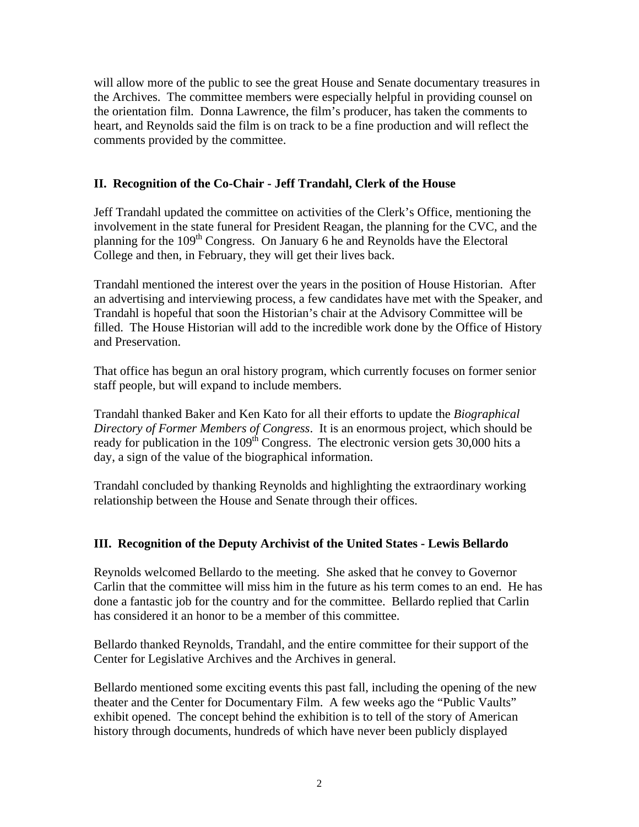will allow more of the public to see the great House and Senate documentary treasures in the Archives. The committee members were especially helpful in providing counsel on the orientation film. Donna Lawrence, the film's producer, has taken the comments to heart, and Reynolds said the film is on track to be a fine production and will reflect the comments provided by the committee.

# **II. Recognition of the Co-Chair - Jeff Trandahl, Clerk of the House**

Jeff Trandahl updated the committee on activities of the Clerk's Office, mentioning the involvement in the state funeral for President Reagan, the planning for the CVC, and the planning for the 109<sup>th</sup> Congress. On January 6 he and Reynolds have the Electoral College and then, in February, they will get their lives back.

Trandahl mentioned the interest over the years in the position of House Historian. After an advertising and interviewing process, a few candidates have met with the Speaker, and Trandahl is hopeful that soon the Historian's chair at the Advisory Committee will be filled. The House Historian will add to the incredible work done by the Office of History and Preservation.

That office has begun an oral history program, which currently focuses on former senior staff people, but will expand to include members.

Trandahl thanked Baker and Ken Kato for all their efforts to update the *Biographical Directory of Former Members of Congress*. It is an enormous project, which should be ready for publication in the 109<sup>th</sup> Congress. The electronic version gets 30,000 hits a day, a sign of the value of the biographical information.

Trandahl concluded by thanking Reynolds and highlighting the extraordinary working relationship between the House and Senate through their offices.

# **III. Recognition of the Deputy Archivist of the United States - Lewis Bellardo**

Reynolds welcomed Bellardo to the meeting. She asked that he convey to Governor Carlin that the committee will miss him in the future as his term comes to an end. He has done a fantastic job for the country and for the committee. Bellardo replied that Carlin has considered it an honor to be a member of this committee.

Bellardo thanked Reynolds, Trandahl, and the entire committee for their support of the Center for Legislative Archives and the Archives in general.

Bellardo mentioned some exciting events this past fall, including the opening of the new theater and the Center for Documentary Film. A few weeks ago the "Public Vaults" exhibit opened. The concept behind the exhibition is to tell of the story of American history through documents, hundreds of which have never been publicly displayed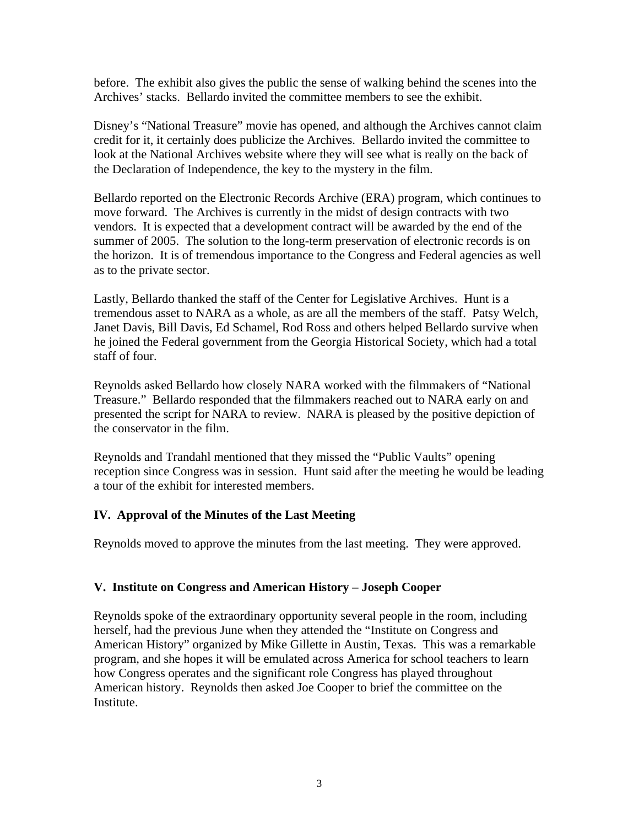before. The exhibit also gives the public the sense of walking behind the scenes into the Archives' stacks. Bellardo invited the committee members to see the exhibit.

Disney's "National Treasure" movie has opened, and although the Archives cannot claim credit for it, it certainly does publicize the Archives. Bellardo invited the committee to look at the National Archives website where they will see what is really on the back of the Declaration of Independence, the key to the mystery in the film.

Bellardo reported on the Electronic Records Archive (ERA) program, which continues to move forward. The Archives is currently in the midst of design contracts with two vendors. It is expected that a development contract will be awarded by the end of the summer of 2005. The solution to the long-term preservation of electronic records is on the horizon. It is of tremendous importance to the Congress and Federal agencies as well as to the private sector.

Lastly, Bellardo thanked the staff of the Center for Legislative Archives. Hunt is a tremendous asset to NARA as a whole, as are all the members of the staff. Patsy Welch, Janet Davis, Bill Davis, Ed Schamel, Rod Ross and others helped Bellardo survive when he joined the Federal government from the Georgia Historical Society, which had a total staff of four.

Reynolds asked Bellardo how closely NARA worked with the filmmakers of "National Treasure." Bellardo responded that the filmmakers reached out to NARA early on and presented the script for NARA to review. NARA is pleased by the positive depiction of the conservator in the film.

Reynolds and Trandahl mentioned that they missed the "Public Vaults" opening reception since Congress was in session. Hunt said after the meeting he would be leading a tour of the exhibit for interested members.

# **IV. Approval of the Minutes of the Last Meeting**

Reynolds moved to approve the minutes from the last meeting. They were approved.

# **V. Institute on Congress and American History – Joseph Cooper**

Reynolds spoke of the extraordinary opportunity several people in the room, including herself, had the previous June when they attended the "Institute on Congress and American History" organized by Mike Gillette in Austin, Texas. This was a remarkable program, and she hopes it will be emulated across America for school teachers to learn how Congress operates and the significant role Congress has played throughout American history. Reynolds then asked Joe Cooper to brief the committee on the Institute.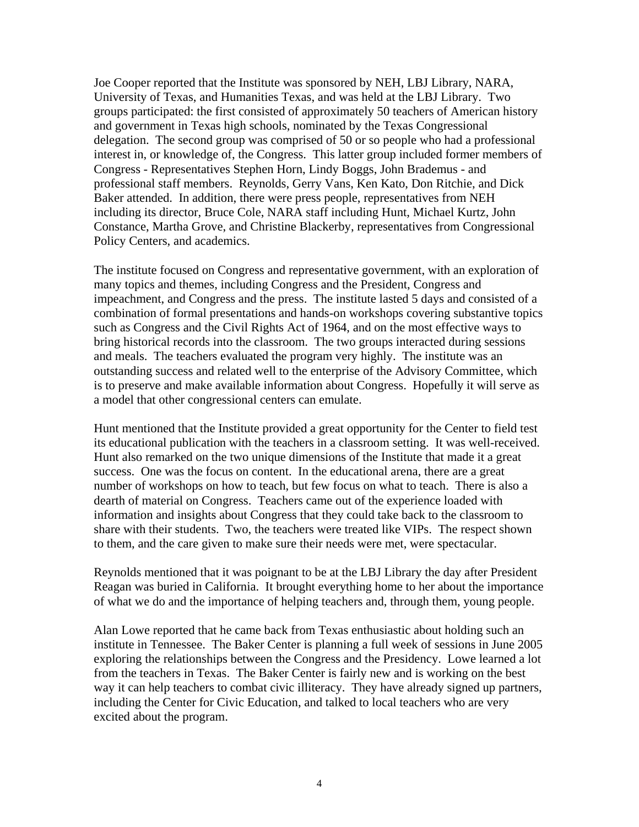Joe Cooper reported that the Institute was sponsored by NEH, LBJ Library, NARA, University of Texas, and Humanities Texas, and was held at the LBJ Library. Two groups participated: the first consisted of approximately 50 teachers of American history and government in Texas high schools, nominated by the Texas Congressional delegation. The second group was comprised of 50 or so people who had a professional interest in, or knowledge of, the Congress. This latter group included former members of Congress - Representatives Stephen Horn, Lindy Boggs, John Brademus - and professional staff members. Reynolds, Gerry Vans, Ken Kato, Don Ritchie, and Dick Baker attended. In addition, there were press people, representatives from NEH including its director, Bruce Cole, NARA staff including Hunt, Michael Kurtz, John Constance, Martha Grove, and Christine Blackerby, representatives from Congressional Policy Centers, and academics.

The institute focused on Congress and representative government, with an exploration of many topics and themes, including Congress and the President, Congress and impeachment, and Congress and the press. The institute lasted 5 days and consisted of a combination of formal presentations and hands-on workshops covering substantive topics such as Congress and the Civil Rights Act of 1964, and on the most effective ways to bring historical records into the classroom. The two groups interacted during sessions and meals. The teachers evaluated the program very highly. The institute was an outstanding success and related well to the enterprise of the Advisory Committee, which is to preserve and make available information about Congress. Hopefully it will serve as a model that other congressional centers can emulate.

Hunt mentioned that the Institute provided a great opportunity for the Center to field test its educational publication with the teachers in a classroom setting. It was well-received. Hunt also remarked on the two unique dimensions of the Institute that made it a great success. One was the focus on content. In the educational arena, there are a great number of workshops on how to teach, but few focus on what to teach. There is also a dearth of material on Congress. Teachers came out of the experience loaded with information and insights about Congress that they could take back to the classroom to share with their students. Two, the teachers were treated like VIPs. The respect shown to them, and the care given to make sure their needs were met, were spectacular.

Reynolds mentioned that it was poignant to be at the LBJ Library the day after President Reagan was buried in California. It brought everything home to her about the importance of what we do and the importance of helping teachers and, through them, young people.

Alan Lowe reported that he came back from Texas enthusiastic about holding such an institute in Tennessee. The Baker Center is planning a full week of sessions in June 2005 exploring the relationships between the Congress and the Presidency. Lowe learned a lot from the teachers in Texas. The Baker Center is fairly new and is working on the best way it can help teachers to combat civic illiteracy. They have already signed up partners, including the Center for Civic Education, and talked to local teachers who are very excited about the program.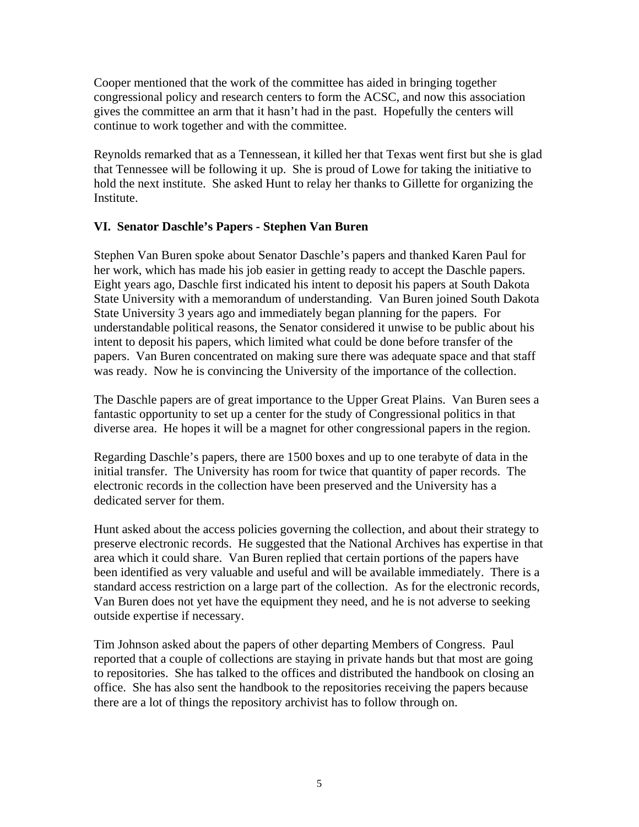Cooper mentioned that the work of the committee has aided in bringing together congressional policy and research centers to form the ACSC, and now this association gives the committee an arm that it hasn't had in the past. Hopefully the centers will continue to work together and with the committee.

Reynolds remarked that as a Tennessean, it killed her that Texas went first but she is glad that Tennessee will be following it up. She is proud of Lowe for taking the initiative to hold the next institute. She asked Hunt to relay her thanks to Gillette for organizing the Institute.

# **VI. Senator Daschle's Papers - Stephen Van Buren**

Stephen Van Buren spoke about Senator Daschle's papers and thanked Karen Paul for her work, which has made his job easier in getting ready to accept the Daschle papers. Eight years ago, Daschle first indicated his intent to deposit his papers at South Dakota State University with a memorandum of understanding. Van Buren joined South Dakota State University 3 years ago and immediately began planning for the papers. For understandable political reasons, the Senator considered it unwise to be public about his intent to deposit his papers, which limited what could be done before transfer of the papers. Van Buren concentrated on making sure there was adequate space and that staff was ready. Now he is convincing the University of the importance of the collection.

The Daschle papers are of great importance to the Upper Great Plains. Van Buren sees a fantastic opportunity to set up a center for the study of Congressional politics in that diverse area. He hopes it will be a magnet for other congressional papers in the region.

Regarding Daschle's papers, there are 1500 boxes and up to one terabyte of data in the initial transfer. The University has room for twice that quantity of paper records. The electronic records in the collection have been preserved and the University has a dedicated server for them.

Hunt asked about the access policies governing the collection, and about their strategy to preserve electronic records. He suggested that the National Archives has expertise in that area which it could share. Van Buren replied that certain portions of the papers have been identified as very valuable and useful and will be available immediately. There is a standard access restriction on a large part of the collection. As for the electronic records, Van Buren does not yet have the equipment they need, and he is not adverse to seeking outside expertise if necessary.

Tim Johnson asked about the papers of other departing Members of Congress. Paul reported that a couple of collections are staying in private hands but that most are going to repositories. She has talked to the offices and distributed the handbook on closing an office. She has also sent the handbook to the repositories receiving the papers because there are a lot of things the repository archivist has to follow through on.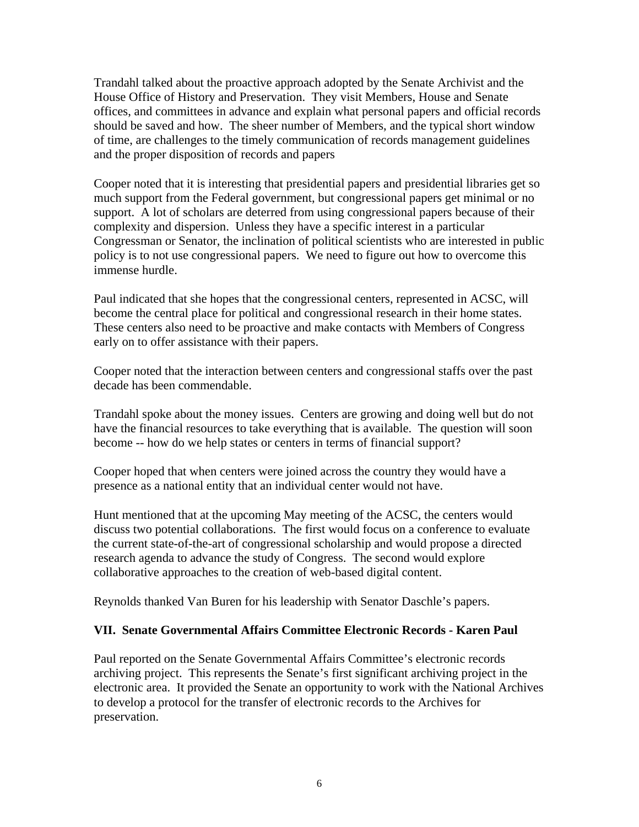Trandahl talked about the proactive approach adopted by the Senate Archivist and the House Office of History and Preservation. They visit Members, House and Senate offices, and committees in advance and explain what personal papers and official records should be saved and how. The sheer number of Members, and the typical short window of time, are challenges to the timely communication of records management guidelines and the proper disposition of records and papers

Cooper noted that it is interesting that presidential papers and presidential libraries get so much support from the Federal government, but congressional papers get minimal or no support. A lot of scholars are deterred from using congressional papers because of their complexity and dispersion. Unless they have a specific interest in a particular Congressman or Senator, the inclination of political scientists who are interested in public policy is to not use congressional papers. We need to figure out how to overcome this immense hurdle.

Paul indicated that she hopes that the congressional centers, represented in ACSC, will become the central place for political and congressional research in their home states. These centers also need to be proactive and make contacts with Members of Congress early on to offer assistance with their papers.

Cooper noted that the interaction between centers and congressional staffs over the past decade has been commendable.

Trandahl spoke about the money issues. Centers are growing and doing well but do not have the financial resources to take everything that is available. The question will soon become -- how do we help states or centers in terms of financial support?

Cooper hoped that when centers were joined across the country they would have a presence as a national entity that an individual center would not have.

Hunt mentioned that at the upcoming May meeting of the ACSC, the centers would discuss two potential collaborations. The first would focus on a conference to evaluate the current state-of-the-art of congressional scholarship and would propose a directed research agenda to advance the study of Congress. The second would explore collaborative approaches to the creation of web-based digital content.

Reynolds thanked Van Buren for his leadership with Senator Daschle's papers.

#### **VII. Senate Governmental Affairs Committee Electronic Records - Karen Paul**

Paul reported on the Senate Governmental Affairs Committee's electronic records archiving project. This represents the Senate's first significant archiving project in the electronic area. It provided the Senate an opportunity to work with the National Archives to develop a protocol for the transfer of electronic records to the Archives for preservation.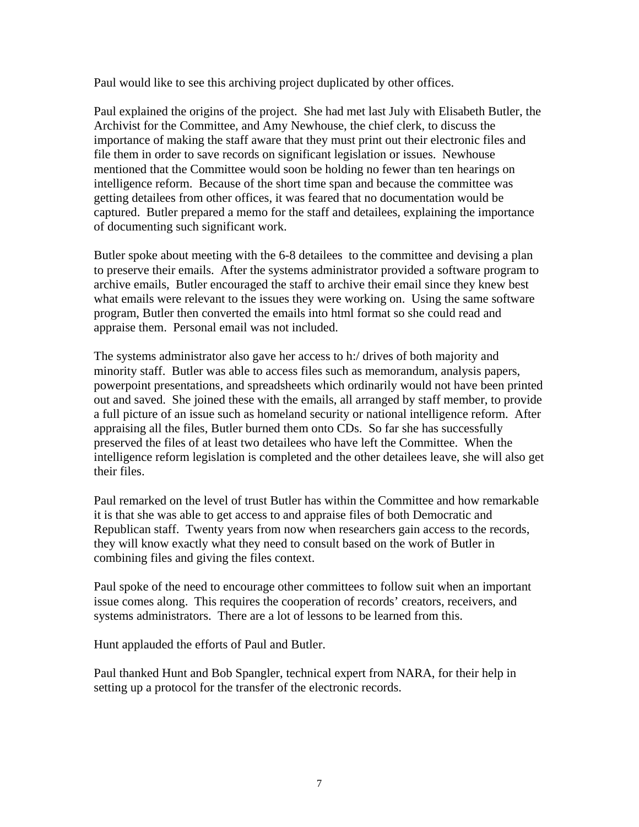Paul would like to see this archiving project duplicated by other offices.

Paul explained the origins of the project. She had met last July with Elisabeth Butler, the Archivist for the Committee, and Amy Newhouse, the chief clerk, to discuss the importance of making the staff aware that they must print out their electronic files and file them in order to save records on significant legislation or issues. Newhouse mentioned that the Committee would soon be holding no fewer than ten hearings on intelligence reform. Because of the short time span and because the committee was getting detailees from other offices, it was feared that no documentation would be captured. Butler prepared a memo for the staff and detailees, explaining the importance of documenting such significant work.

Butler spoke about meeting with the 6-8 detailees to the committee and devising a plan to preserve their emails. After the systems administrator provided a software program to archive emails, Butler encouraged the staff to archive their email since they knew best what emails were relevant to the issues they were working on. Using the same software program, Butler then converted the emails into html format so she could read and appraise them. Personal email was not included.

The systems administrator also gave her access to h:/ drives of both majority and minority staff. Butler was able to access files such as memorandum, analysis papers, powerpoint presentations, and spreadsheets which ordinarily would not have been printed out and saved. She joined these with the emails, all arranged by staff member, to provide a full picture of an issue such as homeland security or national intelligence reform. After appraising all the files, Butler burned them onto CDs. So far she has successfully preserved the files of at least two detailees who have left the Committee. When the intelligence reform legislation is completed and the other detailees leave, she will also get their files.

Paul remarked on the level of trust Butler has within the Committee and how remarkable it is that she was able to get access to and appraise files of both Democratic and Republican staff. Twenty years from now when researchers gain access to the records, they will know exactly what they need to consult based on the work of Butler in combining files and giving the files context.

Paul spoke of the need to encourage other committees to follow suit when an important issue comes along. This requires the cooperation of records' creators, receivers, and systems administrators. There are a lot of lessons to be learned from this.

Hunt applauded the efforts of Paul and Butler.

Paul thanked Hunt and Bob Spangler, technical expert from NARA, for their help in setting up a protocol for the transfer of the electronic records.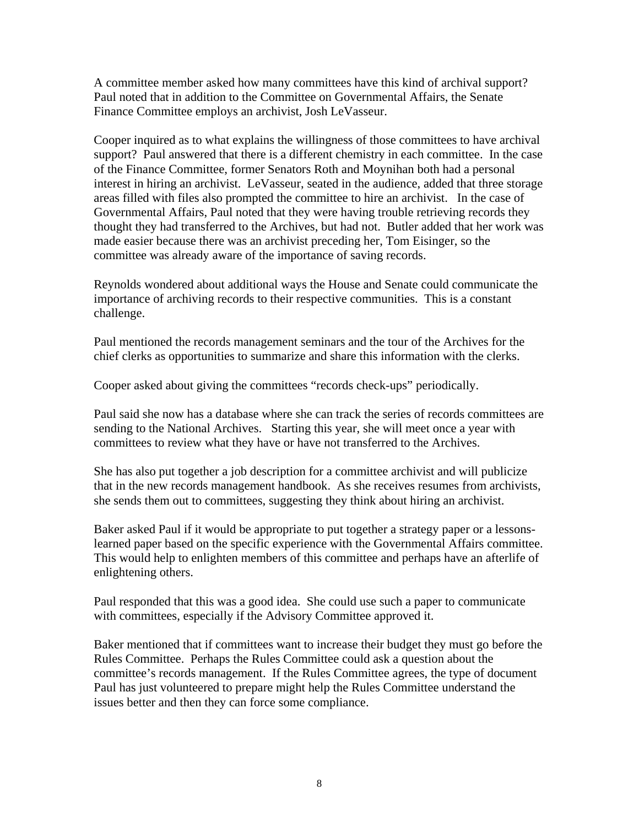A committee member asked how many committees have this kind of archival support? Paul noted that in addition to the Committee on Governmental Affairs, the Senate Finance Committee employs an archivist, Josh LeVasseur.

Cooper inquired as to what explains the willingness of those committees to have archival support? Paul answered that there is a different chemistry in each committee. In the case of the Finance Committee, former Senators Roth and Moynihan both had a personal interest in hiring an archivist. LeVasseur, seated in the audience, added that three storage areas filled with files also prompted the committee to hire an archivist. In the case of Governmental Affairs, Paul noted that they were having trouble retrieving records they thought they had transferred to the Archives, but had not. Butler added that her work was made easier because there was an archivist preceding her, Tom Eisinger, so the committee was already aware of the importance of saving records.

Reynolds wondered about additional ways the House and Senate could communicate the importance of archiving records to their respective communities. This is a constant challenge.

Paul mentioned the records management seminars and the tour of the Archives for the chief clerks as opportunities to summarize and share this information with the clerks.

Cooper asked about giving the committees "records check-ups" periodically.

Paul said she now has a database where she can track the series of records committees are sending to the National Archives. Starting this year, she will meet once a year with committees to review what they have or have not transferred to the Archives.

She has also put together a job description for a committee archivist and will publicize that in the new records management handbook. As she receives resumes from archivists, she sends them out to committees, suggesting they think about hiring an archivist.

Baker asked Paul if it would be appropriate to put together a strategy paper or a lessonslearned paper based on the specific experience with the Governmental Affairs committee. This would help to enlighten members of this committee and perhaps have an afterlife of enlightening others.

Paul responded that this was a good idea. She could use such a paper to communicate with committees, especially if the Advisory Committee approved it.

Baker mentioned that if committees want to increase their budget they must go before the Rules Committee. Perhaps the Rules Committee could ask a question about the committee's records management. If the Rules Committee agrees, the type of document Paul has just volunteered to prepare might help the Rules Committee understand the issues better and then they can force some compliance.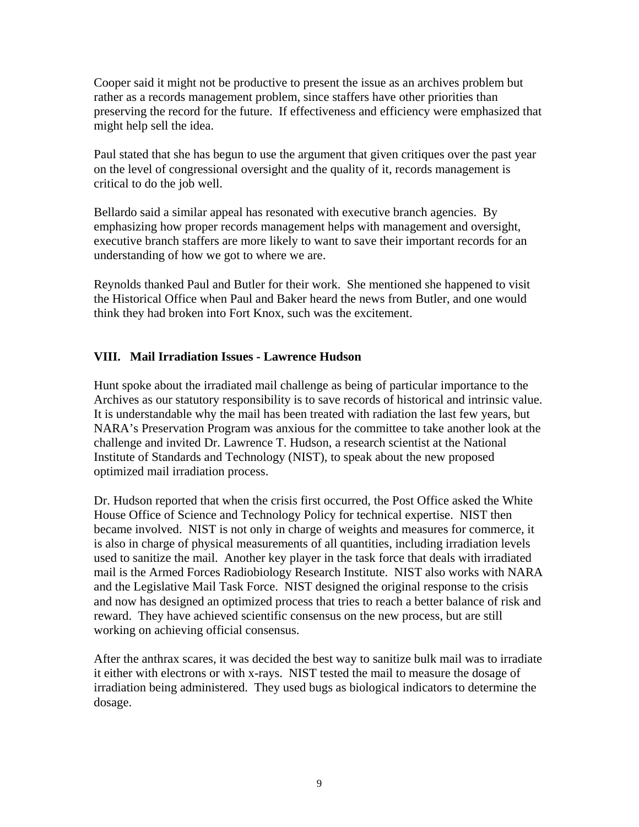Cooper said it might not be productive to present the issue as an archives problem but rather as a records management problem, since staffers have other priorities than preserving the record for the future. If effectiveness and efficiency were emphasized that might help sell the idea.

Paul stated that she has begun to use the argument that given critiques over the past year on the level of congressional oversight and the quality of it, records management is critical to do the job well.

Bellardo said a similar appeal has resonated with executive branch agencies. By emphasizing how proper records management helps with management and oversight, executive branch staffers are more likely to want to save their important records for an understanding of how we got to where we are.

Reynolds thanked Paul and Butler for their work. She mentioned she happened to visit the Historical Office when Paul and Baker heard the news from Butler, and one would think they had broken into Fort Knox, such was the excitement.

# **VIII. Mail Irradiation Issues - Lawrence Hudson**

Hunt spoke about the irradiated mail challenge as being of particular importance to the Archives as our statutory responsibility is to save records of historical and intrinsic value. It is understandable why the mail has been treated with radiation the last few years, but NARA's Preservation Program was anxious for the committee to take another look at the challenge and invited Dr. Lawrence T. Hudson, a research scientist at the National Institute of Standards and Technology (NIST), to speak about the new proposed optimized mail irradiation process.

Dr. Hudson reported that when the crisis first occurred, the Post Office asked the White House Office of Science and Technology Policy for technical expertise. NIST then became involved. NIST is not only in charge of weights and measures for commerce, it is also in charge of physical measurements of all quantities, including irradiation levels used to sanitize the mail. Another key player in the task force that deals with irradiated mail is the Armed Forces Radiobiology Research Institute. NIST also works with NARA and the Legislative Mail Task Force. NIST designed the original response to the crisis and now has designed an optimized process that tries to reach a better balance of risk and reward. They have achieved scientific consensus on the new process, but are still working on achieving official consensus.

After the anthrax scares, it was decided the best way to sanitize bulk mail was to irradiate it either with electrons or with x-rays. NIST tested the mail to measure the dosage of irradiation being administered. They used bugs as biological indicators to determine the dosage.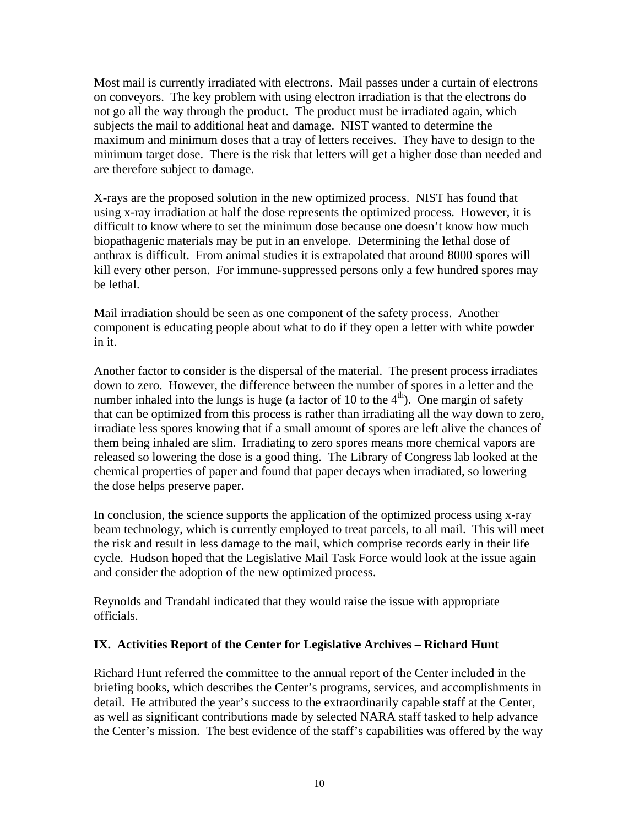Most mail is currently irradiated with electrons. Mail passes under a curtain of electrons on conveyors. The key problem with using electron irradiation is that the electrons do not go all the way through the product. The product must be irradiated again, which subjects the mail to additional heat and damage. NIST wanted to determine the maximum and minimum doses that a tray of letters receives. They have to design to the minimum target dose. There is the risk that letters will get a higher dose than needed and are therefore subject to damage.

X-rays are the proposed solution in the new optimized process. NIST has found that using x-ray irradiation at half the dose represents the optimized process. However, it is difficult to know where to set the minimum dose because one doesn't know how much biopathagenic materials may be put in an envelope. Determining the lethal dose of anthrax is difficult. From animal studies it is extrapolated that around 8000 spores will kill every other person. For immune-suppressed persons only a few hundred spores may be lethal.

Mail irradiation should be seen as one component of the safety process. Another component is educating people about what to do if they open a letter with white powder in it.

Another factor to consider is the dispersal of the material. The present process irradiates down to zero. However, the difference between the number of spores in a letter and the number inhaled into the lungs is huge (a factor of 10 to the  $4<sup>th</sup>$ ). One margin of safety that can be optimized from this process is rather than irradiating all the way down to zero, irradiate less spores knowing that if a small amount of spores are left alive the chances of them being inhaled are slim. Irradiating to zero spores means more chemical vapors are released so lowering the dose is a good thing. The Library of Congress lab looked at the chemical properties of paper and found that paper decays when irradiated, so lowering the dose helps preserve paper.

In conclusion, the science supports the application of the optimized process using x-ray beam technology, which is currently employed to treat parcels, to all mail. This will meet the risk and result in less damage to the mail, which comprise records early in their life cycle. Hudson hoped that the Legislative Mail Task Force would look at the issue again and consider the adoption of the new optimized process.

Reynolds and Trandahl indicated that they would raise the issue with appropriate officials.

#### **IX. Activities Report of the Center for Legislative Archives – Richard Hunt**

Richard Hunt referred the committee to the annual report of the Center included in the briefing books, which describes the Center's programs, services, and accomplishments in detail. He attributed the year's success to the extraordinarily capable staff at the Center, as well as significant contributions made by selected NARA staff tasked to help advance the Center's mission. The best evidence of the staff's capabilities was offered by the way